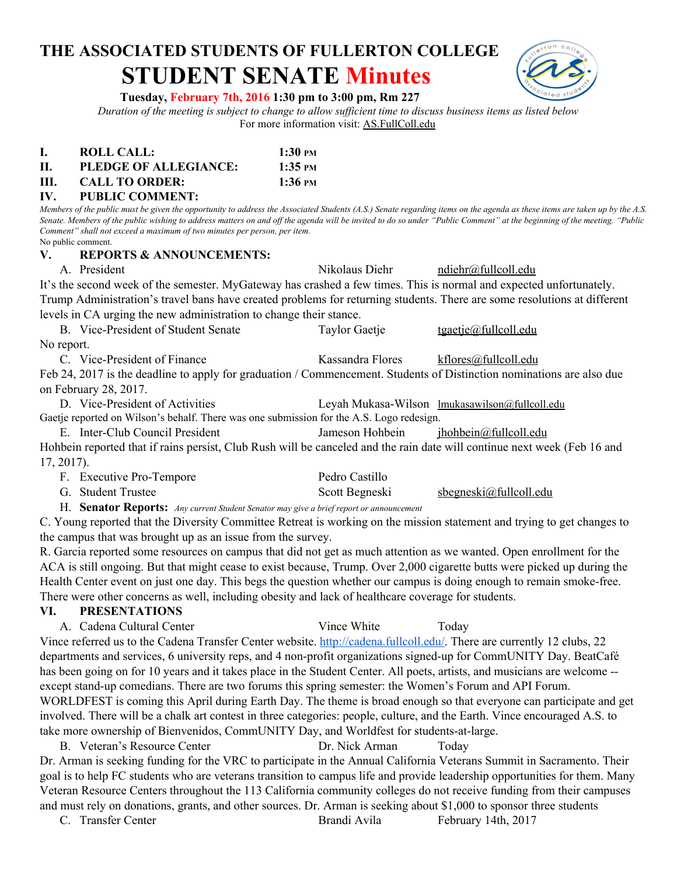# **THE ASSOCIATED STUDENTS OF FULLERTON COLLEGE STUDENT SENATE Minutes**



#### **Tuesday, February 7th, 2016 1:30 pm to 3:00 pm, Rm 227**

*Duration of the meeting is subject to change to allow sufficient time to discuss business items as listed below* For more information visit: AS.FullColl.edu

| <b>ROLL CALL:</b> | $1:30 \text{ }$ PM |
|-------------------|--------------------|
|                   |                    |

**II. PLEDGE OF ALLEGIANCE: 1:35 PM**

**III. CALL TO ORDER: 1:36 PM**

#### **IV. PUBLIC COMMENT:**

*Members of the public must be given the opportunity to address the Associated Students (A.S.) Senate regarding items on the agenda as these items are taken up by the A.S. Senate. Members of the public wishing to address matters on and off the agenda will be invited to do so under "Public Comment" at the beginning of the meeting. "Public Comment" shall not exceed a maximum of two minutes per person, per item.* No public comment.

#### **V. REPORTS & ANNOUNCEMENTS:**

A. President Nikolaus Diehr [ndiehr@fullcoll.edu](mailto:ndiehr@fullcoll.edu)

It's the second week of the semester. MyGateway has crashed a few times. This is normal and expected unfortunately. Trump Administration's travel bans have created problems for returning students. There are some resolutions at different levels in CA urging the new administration to change their stance.

| B. Vice-President of Student Senate                 | Taylor Gaetje                        | <u>tgaetje@fullcoll.edu</u> |
|-----------------------------------------------------|--------------------------------------|-----------------------------|
| No report.                                          |                                      |                             |
| $C = U_{\text{loc}}$ Described of $\Gamma$ property | $V_{\text{meas}}$ due $\Gamma$ lenes |                             |

C. Vice-President of Finance Kassandra Flores kflores kflores kflores kflores kflores kflores kflores kflores kflores kflores kflores kflores kflores kflores kflores kflores kflores kflores kflores kflores kflores kflores Feb 24, 2017 is the deadline to apply for graduation / Commencement. Students of Distinction nominations are also due on February 28, 2017.

D. Vice-President of Activities Leyah Mukasa-Wilson [lmukasawilson@fullcoll.edu](mailto:lmukasawilson@fullcoll.edu) Gaetje reported on Wilson's behalf. There was one submission for the A.S. Logo redesign.

E. Inter-Club Council President Jameson Hohbein jhohbein in ihohbein gradualedu

Hohbein reported that if rains persist, Club Rush will be canceled and the rain date will continue next week (Feb 16 and 17, 2017).

| F. Executive Pro-Tempore | Pedro Castillo |                        |
|--------------------------|----------------|------------------------|
| G. Student Trustee       | Scott Begneski | sbegneski@fullcoll.edu |

H. **Senator Reports:**  *Any current Student Senator may give a brief report or announcement*

C. Young reported that the Diversity Committee Retreat is working on the mission statement and trying to get changes to the campus that was brought up as an issue from the survey.

R. Garcia reported some resources on campus that did not get as much attention as we wanted. Open enrollment for the ACA is still ongoing. But that might cease to exist because, Trump. Over 2,000 cigarette butts were picked up during the Health Center event on just one day. This begs the question whether our campus is doing enough to remain smoke-free. There were other concerns as well, including obesity and lack of healthcare coverage for students.

#### **VI. PRESENTATIONS**

A. Cadena Cultural Center Vince White Today

Vince referred us to the Cadena Transfer Center website. [http://cadena.fullcoll.edu/.](http://cadena.fullcoll.edu/) There are currently 12 clubs, 22 departments and services, 6 university reps, and 4 non-profit organizations signed-up for CommUNITY Day. BeatCafé has been going on for 10 years and it takes place in the Student Center. All poets, artists, and musicians are welcome -except stand-up comedians. There are two forums this spring semester: the Women's Forum and API Forum. WORLDFEST is coming this April during Earth Day. The theme is broad enough so that everyone can participate and get involved. There will be a chalk art contest in three categories: people, culture, and the Earth. Vince encouraged A.S. to take more ownership of Bienvenidos, CommUNITY Day, and Worldfest for students-at-large.

B. Veteran's Resource Center **Dr. Nick Arman** Today

Dr. Arman is seeking funding for the VRC to participate in the Annual California Veterans Summit in Sacramento. Their goal is to help FC students who are veterans transition to campus life and provide leadership opportunities for them. Many Veteran Resource Centers throughout the 113 California community colleges do not receive funding from their campuses and must rely on donations, grants, and other sources. Dr. Arman is seeking about \$1,000 to sponsor three students

| February 14th, 2017<br>C. Transfer Center<br>Brandi Avila |  |
|-----------------------------------------------------------|--|
|-----------------------------------------------------------|--|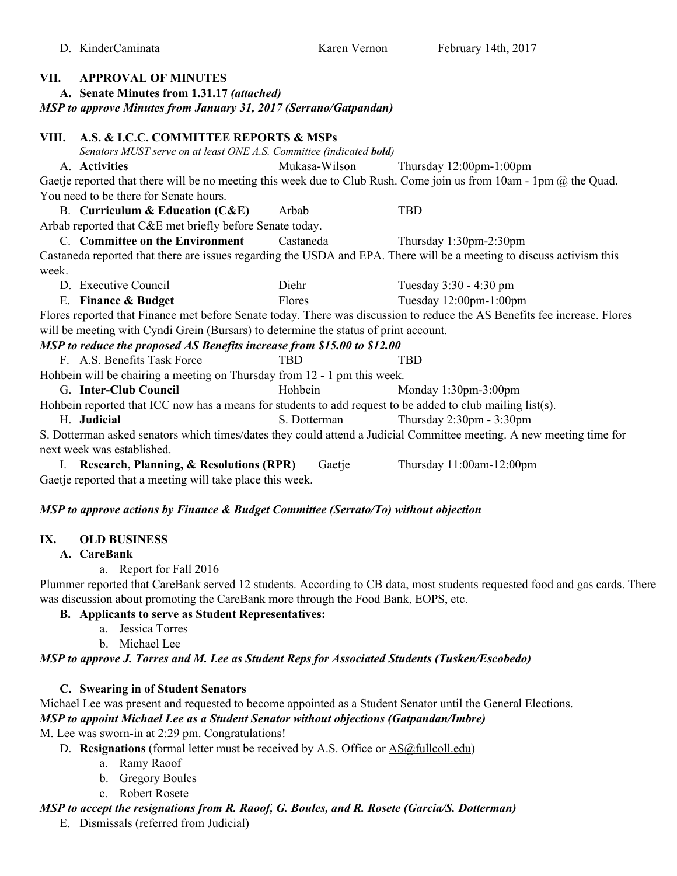**VII. APPROVAL OF MINUTES**

## **A. Senate Minutes from 1.31.17** *(attached) MSP to approve Minutes from January 31, 2017 (Serrano/Gatpandan)* **VIII. A.S. & I.C.C. COMMITTEE REPORTS & MSPs** Senators MUST serve on at least ONE A.S. Committee (indicated **bold**) A. **Activities** Mukasa-Wilson Thursday 12:00pm-1:00pm Gaetje reported that there will be no meeting this week due to Club Rush. Come join us from 10am - 1pm  $\omega$  the Quad. You need to be there for Senate hours. B. **Curriculum & Education (C&E)** Arbab TBD Arbab reported that C&E met briefly before Senate today. C. **Committee on the Environment** Castaneda Thursday 1:30pm-2:30pm Castaneda reported that there are issues regarding the USDA and EPA. There will be a meeting to discuss activism this week. D. Executive Council Diehr Tuesday 3:30 - 4:30 pm E. **Finance & Budget** Flores Tuesday 12:00pm-1:00pm Flores reported that Finance met before Senate today. There was discussion to reduce the AS Benefits fee increase. Flores will be meeting with Cyndi Grein (Bursars) to determine the status of print account. *MSP to reduce the proposed AS Benefits increase from \$15.00 to \$12.00* F. A.S. Benefits Task Force TBD TBD TBD Hohbein will be chairing a meeting on Thursday from 12 - 1 pm this week. G. **Inter-Club Council Hohbein** Hohbein **Monday 1:30pm-3:00pm** Hohbein reported that ICC now has a means for students to add request to be added to club mailing list(s). H. **Judicial** S. Dotterman Thursday 2:30pm - 3:30pm S. Dotterman asked senators which times/dates they could attend a Judicial Committee meeting. A new meeting time for next week was established. I. **Research, Planning, & Resolutions (RPR)** Gaetje Thursday 11:00am-12:00pm

Gaetje reported that a meeting will take place this week.

#### *MSP to approve actions by Finance & Budget Committee (Serrato/To) without objection*

#### **IX. OLD BUSINESS**

#### **A. CareBank**

a. Report for Fall 2016

Plummer reported that CareBank served 12 students. According to CB data, most students requested food and gas cards. There was discussion about promoting the CareBank more through the Food Bank, EOPS, etc.

#### **B. Applicants to serve as Student Representatives:**

- a. Jessica Torres
- b. Michael Lee

#### *MSP to approve J. Torres and M. Lee as Student Reps for Associated Students (Tusken/Escobedo)*

#### **C. Swearing in of Student Senators**

Michael Lee was present and requested to become appointed as a Student Senator until the General Elections. *MSP to appoint Michael Lee as a Student Senator without objections (Gatpandan/Imbre)*

M. Lee was sworn-in at 2:29 pm. Congratulations!

- D. **Resignations** (formal letter must be received by A.S. Office or **AS@fullcoll.edu**)
	- a. Ramy Raoof
	- b. Gregory Boules
	- c. Robert Rosete

## *MSP to accept the resignations from R. Raoof, G. Boules, and R. Rosete (Garcia/S. Dotterman)*

E. Dismissals (referred from Judicial)